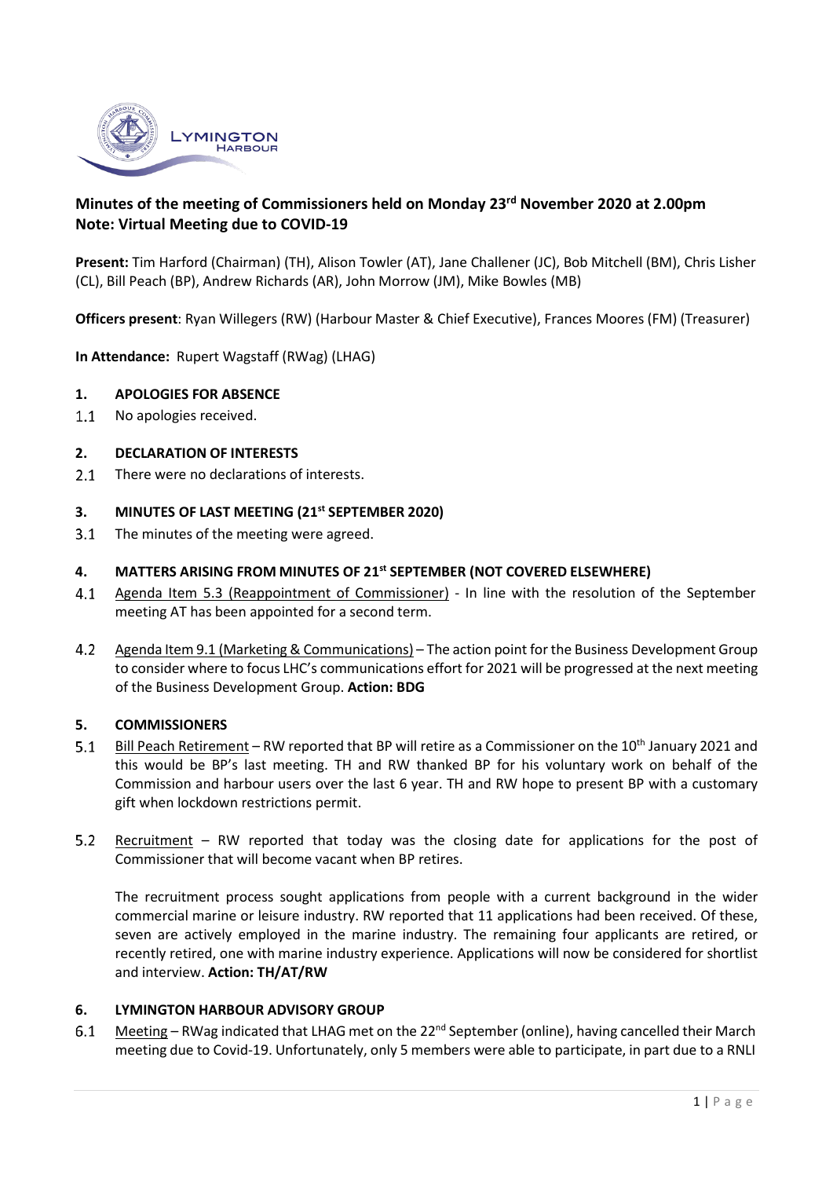

# **Minutes of the meeting of Commissioners held on Monday 23rd November 2020 at 2.00pm Note: Virtual Meeting due to COVID-19**

**Present:** Tim Harford (Chairman) (TH), Alison Towler (AT), Jane Challener (JC), Bob Mitchell (BM), Chris Lisher (CL), Bill Peach (BP), Andrew Richards (AR), John Morrow (JM), Mike Bowles (MB)

**Officers present**: Ryan Willegers (RW) (Harbour Master & Chief Executive), Frances Moores (FM) (Treasurer)

**In Attendance:** Rupert Wagstaff (RWag) (LHAG)

### **1. APOLOGIES FOR ABSENCE**

 $1.1$ No apologies received.

### **2. DECLARATION OF INTERESTS**

There were no declarations of interests.  $2.1$ 

#### **3. MINUTES OF LAST MEETING (21st SEPTEMBER 2020)**

 $3.1$ The minutes of the meeting were agreed.

#### **4. MATTERS ARISING FROM MINUTES OF 21st SEPTEMBER (NOT COVERED ELSEWHERE)**

- $4.1$ Agenda Item 5.3 (Reappointment of Commissioner) - In line with the resolution of the September meeting AT has been appointed for a second term.
- $4.2$ Agenda Item 9.1 (Marketing & Communications) – The action point for the Business Development Group to consider where to focus LHC's communications effort for 2021 will be progressed at the next meeting of the Business Development Group. **Action: BDG**

### **5. COMMISSIONERS**

- $5.1$ Bill Peach Retirement – RW reported that BP will retire as a Commissioner on the 10<sup>th</sup> January 2021 and this would be BP's last meeting. TH and RW thanked BP for his voluntary work on behalf of the Commission and harbour users over the last 6 year. TH and RW hope to present BP with a customary gift when lockdown restrictions permit.
- $5.2$ Recruitment – RW reported that today was the closing date for applications for the post of Commissioner that will become vacant when BP retires.

The recruitment process sought applications from people with a current background in the wider commercial marine or leisure industry. RW reported that 11 applications had been received. Of these, seven are actively employed in the marine industry. The remaining four applicants are retired, or recently retired, one with marine industry experience. Applications will now be considered for shortlist and interview. **Action: TH/AT/RW**

### **6. LYMINGTON HARBOUR ADVISORY GROUP**

 $6.1$ Meeting – RWag indicated that LHAG met on the 22<sup>nd</sup> September (online), having cancelled their March meeting due to Covid-19. Unfortunately, only 5 members were able to participate, in part due to a RNLI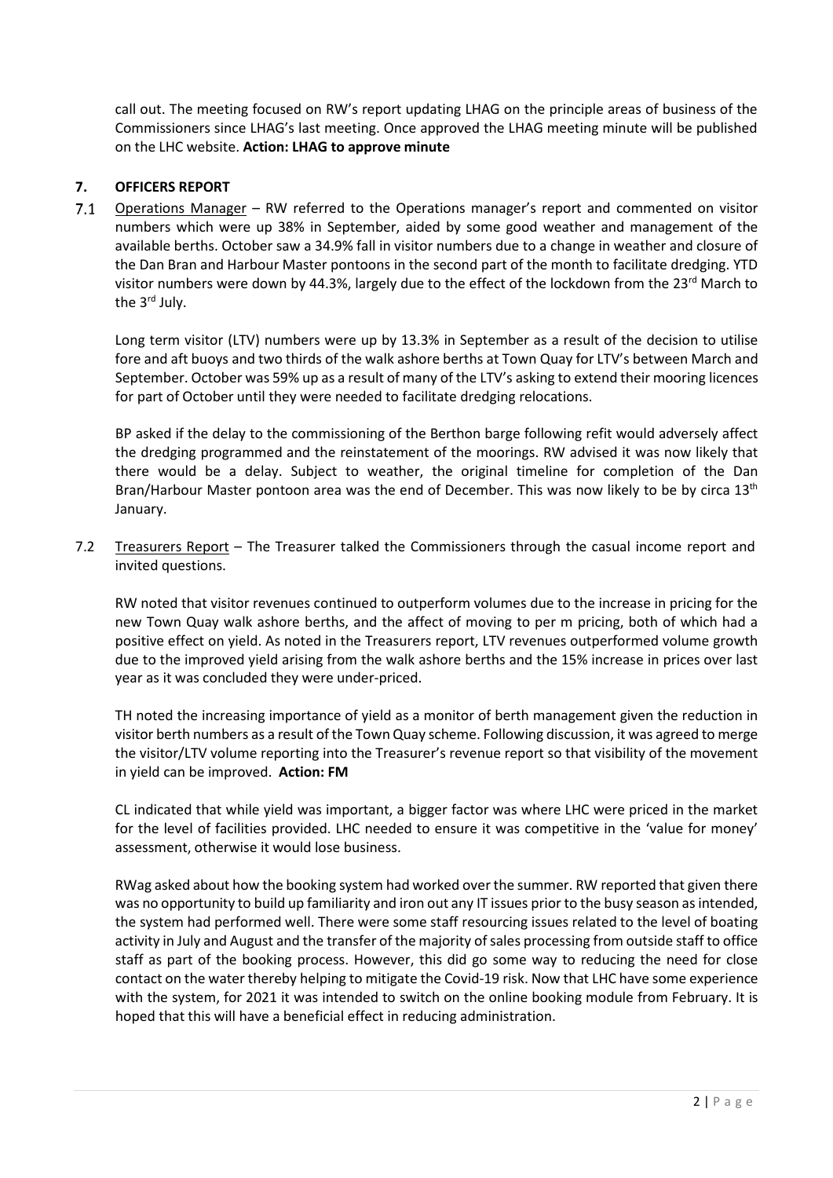call out. The meeting focused on RW's report updating LHAG on the principle areas of business of the Commissioners since LHAG's last meeting. Once approved the LHAG meeting minute will be published on the LHC website. **Action: LHAG to approve minute**

### **7. OFFICERS REPORT**

 $7.1$ Operations Manager – RW referred to the Operations manager's report and commented on visitor numbers which were up 38% in September, aided by some good weather and management of the available berths. October saw a 34.9% fall in visitor numbers due to a change in weather and closure of the Dan Bran and Harbour Master pontoons in the second part of the month to facilitate dredging. YTD visitor numbers were down by 44.3%, largely due to the effect of the lockdown from the 23<sup>rd</sup> March to the 3<sup>rd</sup> July.

Long term visitor (LTV) numbers were up by 13.3% in September as a result of the decision to utilise fore and aft buoys and two thirds of the walk ashore berths at Town Quay for LTV's between March and September. October was 59% up as a result of many of the LTV's asking to extend their mooring licences for part of October until they were needed to facilitate dredging relocations.

BP asked if the delay to the commissioning of the Berthon barge following refit would adversely affect the dredging programmed and the reinstatement of the moorings. RW advised it was now likely that there would be a delay. Subject to weather, the original timeline for completion of the Dan Bran/Harbour Master pontoon area was the end of December. This was now likely to be by circa 13<sup>th</sup> January.

7.2 Treasurers Report – The Treasurer talked the Commissioners through the casual income report and invited questions.

RW noted that visitor revenues continued to outperform volumes due to the increase in pricing for the new Town Quay walk ashore berths, and the affect of moving to per m pricing, both of which had a positive effect on yield. As noted in the Treasurers report, LTV revenues outperformed volume growth due to the improved yield arising from the walk ashore berths and the 15% increase in prices over last year as it was concluded they were under-priced.

TH noted the increasing importance of yield as a monitor of berth management given the reduction in visitor berth numbers as a result of the Town Quay scheme. Following discussion, it was agreed to merge the visitor/LTV volume reporting into the Treasurer's revenue report so that visibility of the movement in yield can be improved. **Action: FM**

CL indicated that while yield was important, a bigger factor was where LHC were priced in the market for the level of facilities provided. LHC needed to ensure it was competitive in the 'value for money' assessment, otherwise it would lose business.

RWag asked about how the booking system had worked over the summer. RW reported that given there was no opportunity to build up familiarity and iron out any IT issues prior to the busy season as intended, the system had performed well. There were some staff resourcing issues related to the level of boating activity in July and August and the transfer of the majority of sales processing from outside staff to office staff as part of the booking process. However, this did go some way to reducing the need for close contact on the water thereby helping to mitigate the Covid-19 risk. Now that LHC have some experience with the system, for 2021 it was intended to switch on the online booking module from February. It is hoped that this will have a beneficial effect in reducing administration.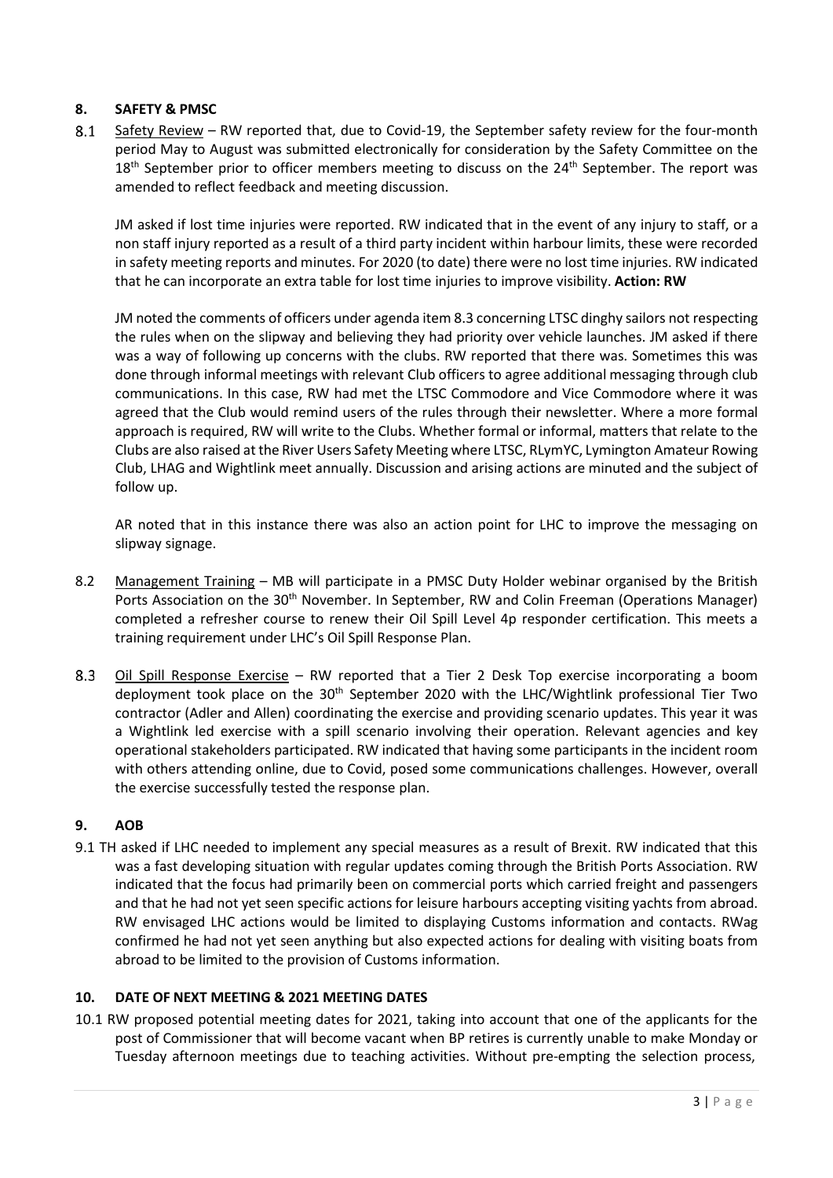# **8. SAFETY & PMSC**

 $8.1$ Safety Review – RW reported that, due to Covid-19, the September safety review for the four-month period May to August was submitted electronically for consideration by the Safety Committee on the  $18<sup>th</sup>$  September prior to officer members meeting to discuss on the  $24<sup>th</sup>$  September. The report was amended to reflect feedback and meeting discussion.

JM asked if lost time injuries were reported. RW indicated that in the event of any injury to staff, or a non staff injury reported as a result of a third party incident within harbour limits, these were recorded in safety meeting reports and minutes. For 2020 (to date) there were no lost time injuries. RW indicated that he can incorporate an extra table for lost time injuries to improve visibility. **Action: RW**

JM noted the comments of officers under agenda item 8.3 concerning LTSC dinghy sailors not respecting the rules when on the slipway and believing they had priority over vehicle launches. JM asked if there was a way of following up concerns with the clubs. RW reported that there was. Sometimes this was done through informal meetings with relevant Club officers to agree additional messaging through club communications. In this case, RW had met the LTSC Commodore and Vice Commodore where it was agreed that the Club would remind users of the rules through their newsletter. Where a more formal approach is required, RW will write to the Clubs. Whether formal or informal, matters that relate to the Clubs are also raised at the River Users Safety Meeting where LTSC, RLymYC, Lymington Amateur Rowing Club, LHAG and Wightlink meet annually. Discussion and arising actions are minuted and the subject of follow up.

AR noted that in this instance there was also an action point for LHC to improve the messaging on slipway signage.

- 8.2 Management Training MB will participate in a PMSC Duty Holder webinar organised by the British Ports Association on the 30<sup>th</sup> November. In September, RW and Colin Freeman (Operations Manager) completed a refresher course to renew their Oil Spill Level 4p responder certification. This meets a training requirement under LHC's Oil Spill Response Plan.
- Oil Spill Response Exercise RW reported that a Tier 2 Desk Top exercise incorporating a boom  $8.3$ deployment took place on the  $30<sup>th</sup>$  September 2020 with the LHC/Wightlink professional Tier Two contractor (Adler and Allen) coordinating the exercise and providing scenario updates. This year it was a Wightlink led exercise with a spill scenario involving their operation. Relevant agencies and key operational stakeholders participated. RW indicated that having some participants in the incident room with others attending online, due to Covid, posed some communications challenges. However, overall the exercise successfully tested the response plan.

# **9. AOB**

9.1 TH asked if LHC needed to implement any special measures as a result of Brexit. RW indicated that this was a fast developing situation with regular updates coming through the British Ports Association. RW indicated that the focus had primarily been on commercial ports which carried freight and passengers and that he had not yet seen specific actions for leisure harbours accepting visiting yachts from abroad. RW envisaged LHC actions would be limited to displaying Customs information and contacts. RWag confirmed he had not yet seen anything but also expected actions for dealing with visiting boats from abroad to be limited to the provision of Customs information.

# **10. DATE OF NEXT MEETING & 2021 MEETING DATES**

10.1 RW proposed potential meeting dates for 2021, taking into account that one of the applicants for the post of Commissioner that will become vacant when BP retires is currently unable to make Monday or Tuesday afternoon meetings due to teaching activities. Without pre-empting the selection process,